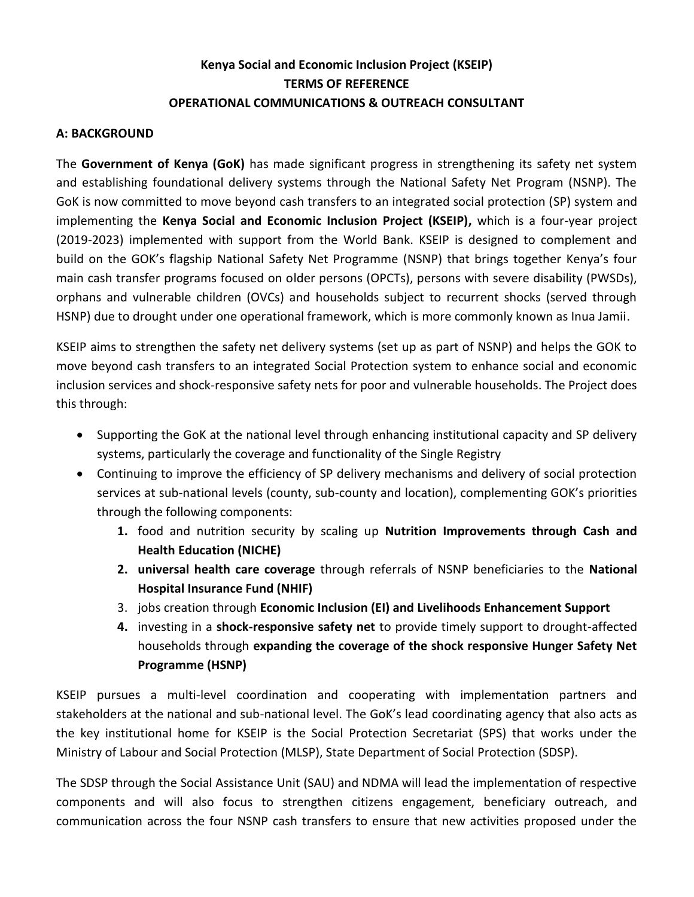# **Kenya Social and Economic Inclusion Project (KSEIP) TERMS OF REFERENCE OPERATIONAL COMMUNICATIONS & OUTREACH CONSULTANT**

### **A: BACKGROUND**

The **Government of Kenya (GoK)** has made significant progress in strengthening its safety net system and establishing foundational delivery systems through the National Safety Net Program (NSNP). The GoK is now committed to move beyond cash transfers to an integrated social protection (SP) system and implementing the **Kenya Social and Economic Inclusion Project (KSEIP),** which is a four-year project (2019-2023) implemented with support from the World Bank. KSEIP is designed to complement and build on the GOK's flagship National Safety Net Programme (NSNP) that brings together Kenya's four main cash transfer programs focused on older persons (OPCTs), persons with severe disability (PWSDs), orphans and vulnerable children (OVCs) and households subject to recurrent shocks (served through HSNP) due to drought under one operational framework, which is more commonly known as Inua Jamii.

KSEIP aims to strengthen the safety net delivery systems (set up as part of NSNP) and helps the GOK to move beyond cash transfers to an integrated Social Protection system to enhance social and economic inclusion services and shock-responsive safety nets for poor and vulnerable households. The Project does this through:

- Supporting the GoK at the national level through enhancing institutional capacity and SP delivery systems, particularly the coverage and functionality of the Single Registry
- Continuing to improve the efficiency of SP delivery mechanisms and delivery of social protection services at sub-national levels (county, sub-county and location), complementing GOK's priorities through the following components:
	- **1.** food and nutrition security by scaling up **Nutrition Improvements through Cash and Health Education (NICHE)**
	- **2. universal health care coverage** through referrals of NSNP beneficiaries to the **National Hospital Insurance Fund (NHIF)**
	- 3. jobs creation through **Economic Inclusion (EI) and Livelihoods Enhancement Support**
	- **4.** investing in a **shock-responsive safety net** to provide timely support to drought-affected households through **expanding the coverage of the shock responsive Hunger Safety Net Programme (HSNP)**

KSEIP pursues a multi-level coordination and cooperating with implementation partners and stakeholders at the national and sub-national level. The GoK's lead coordinating agency that also acts as the key institutional home for KSEIP is the Social Protection Secretariat (SPS) that works under the Ministry of Labour and Social Protection (MLSP), State Department of Social Protection (SDSP).

The SDSP through the Social Assistance Unit (SAU) and NDMA will lead the implementation of respective components and will also focus to strengthen citizens engagement, beneficiary outreach, and communication across the four NSNP cash transfers to ensure that new activities proposed under the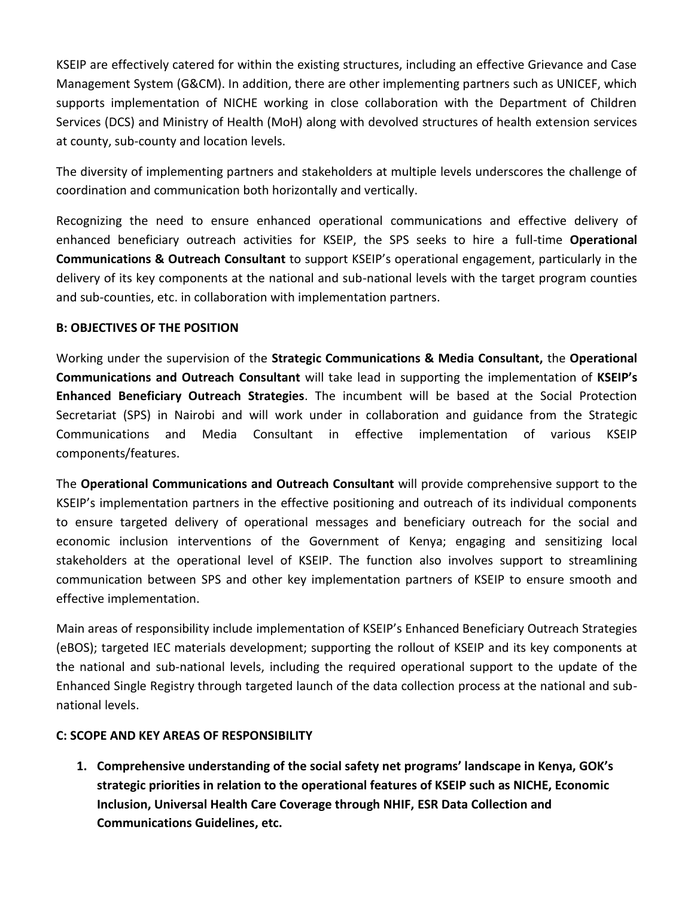KSEIP are effectively catered for within the existing structures, including an effective Grievance and Case Management System (G&CM). In addition, there are other implementing partners such as UNICEF, which supports implementation of NICHE working in close collaboration with the Department of Children Services (DCS) and Ministry of Health (MoH) along with devolved structures of health extension services at county, sub-county and location levels.

The diversity of implementing partners and stakeholders at multiple levels underscores the challenge of coordination and communication both horizontally and vertically.

Recognizing the need to ensure enhanced operational communications and effective delivery of enhanced beneficiary outreach activities for KSEIP, the SPS seeks to hire a full-time **Operational Communications & Outreach Consultant** to support KSEIP's operational engagement, particularly in the delivery of its key components at the national and sub-national levels with the target program counties and sub-counties, etc. in collaboration with implementation partners.

### **B: OBJECTIVES OF THE POSITION**

Working under the supervision of the **Strategic Communications & Media Consultant,** the **Operational Communications and Outreach Consultant** will take lead in supporting the implementation of **KSEIP's Enhanced Beneficiary Outreach Strategies**. The incumbent will be based at the Social Protection Secretariat (SPS) in Nairobi and will work under in collaboration and guidance from the Strategic Communications and Media Consultant in effective implementation of various KSEIP components/features.

The **Operational Communications and Outreach Consultant** will provide comprehensive support to the KSEIP's implementation partners in the effective positioning and outreach of its individual components to ensure targeted delivery of operational messages and beneficiary outreach for the social and economic inclusion interventions of the Government of Kenya; engaging and sensitizing local stakeholders at the operational level of KSEIP. The function also involves support to streamlining communication between SPS and other key implementation partners of KSEIP to ensure smooth and effective implementation.

Main areas of responsibility include implementation of KSEIP's Enhanced Beneficiary Outreach Strategies (eBOS); targeted IEC materials development; supporting the rollout of KSEIP and its key components at the national and sub-national levels, including the required operational support to the update of the Enhanced Single Registry through targeted launch of the data collection process at the national and subnational levels.

### **C: SCOPE AND KEY AREAS OF RESPONSIBILITY**

**1. Comprehensive understanding of the social safety net programs' landscape in Kenya, GOK's strategic priorities in relation to the operational features of KSEIP such as NICHE, Economic Inclusion, Universal Health Care Coverage through NHIF, ESR Data Collection and Communications Guidelines, etc.**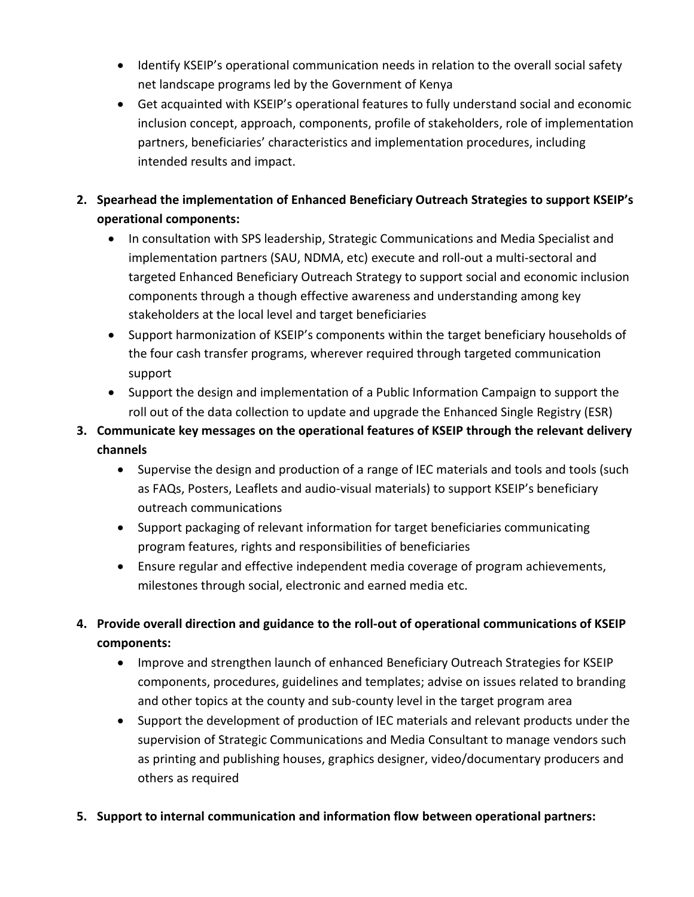- Identify KSEIP's operational communication needs in relation to the overall social safety net landscape programs led by the Government of Kenya
- Get acquainted with KSEIP's operational features to fully understand social and economic inclusion concept, approach, components, profile of stakeholders, role of implementation partners, beneficiaries' characteristics and implementation procedures, including intended results and impact.
- **2. Spearhead the implementation of Enhanced Beneficiary Outreach Strategies to support KSEIP's operational components:**
	- In consultation with SPS leadership, Strategic Communications and Media Specialist and implementation partners (SAU, NDMA, etc) execute and roll-out a multi-sectoral and targeted Enhanced Beneficiary Outreach Strategy to support social and economic inclusion components through a though effective awareness and understanding among key stakeholders at the local level and target beneficiaries
	- Support harmonization of KSEIP's components within the target beneficiary households of the four cash transfer programs, wherever required through targeted communication support
	- Support the design and implementation of a Public Information Campaign to support the roll out of the data collection to update and upgrade the Enhanced Single Registry (ESR)
- **3. Communicate key messages on the operational features of KSEIP through the relevant delivery channels**
	- Supervise the design and production of a range of IEC materials and tools and tools (such as FAQs, Posters, Leaflets and audio-visual materials) to support KSEIP's beneficiary outreach communications
	- Support packaging of relevant information for target beneficiaries communicating program features, rights and responsibilities of beneficiaries
	- Ensure regular and effective independent media coverage of program achievements, milestones through social, electronic and earned media etc.
- **4. Provide overall direction and guidance to the roll-out of operational communications of KSEIP components:**
	- Improve and strengthen launch of enhanced Beneficiary Outreach Strategies for KSEIP components, procedures, guidelines and templates; advise on issues related to branding and other topics at the county and sub-county level in the target program area
	- Support the development of production of IEC materials and relevant products under the supervision of Strategic Communications and Media Consultant to manage vendors such as printing and publishing houses, graphics designer, video/documentary producers and others as required
- **5. Support to internal communication and information flow between operational partners:**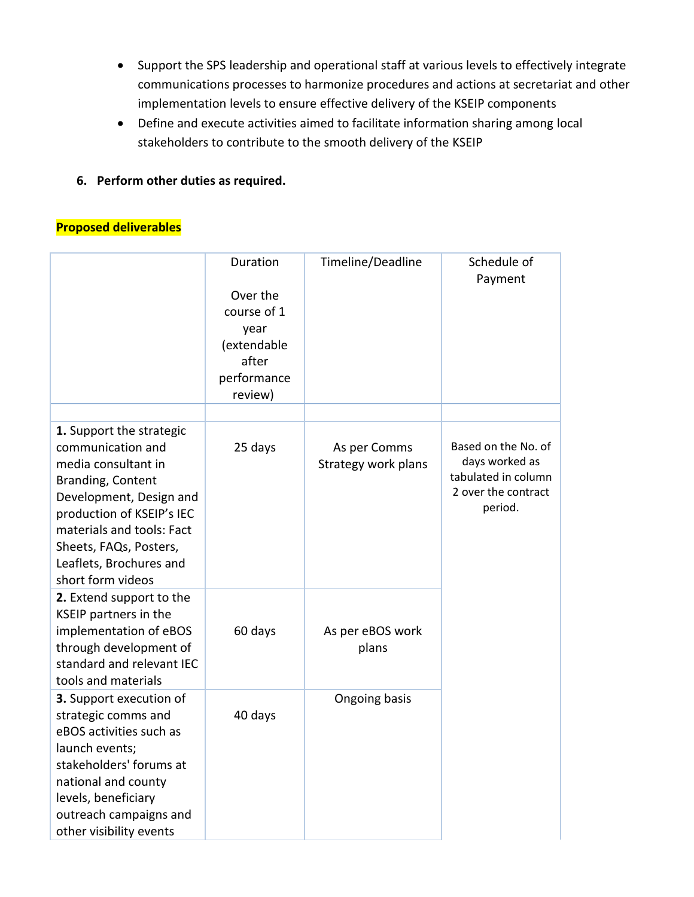- Support the SPS leadership and operational staff at various levels to effectively integrate communications processes to harmonize procedures and actions at secretariat and other implementation levels to ensure effective delivery of the KSEIP components
- Define and execute activities aimed to facilitate information sharing among local stakeholders to contribute to the smooth delivery of the KSEIP
- **6. Perform other duties as required.**

## **Proposed deliverables**

|                                                                                                                                                                                                                                                          | Duration<br>Over the<br>course of 1<br>year<br>(extendable<br>after<br>performance<br>review) | Timeline/Deadline                   | Schedule of<br>Payment                                                                         |
|----------------------------------------------------------------------------------------------------------------------------------------------------------------------------------------------------------------------------------------------------------|-----------------------------------------------------------------------------------------------|-------------------------------------|------------------------------------------------------------------------------------------------|
|                                                                                                                                                                                                                                                          |                                                                                               |                                     |                                                                                                |
| 1. Support the strategic<br>communication and<br>media consultant in<br>Branding, Content<br>Development, Design and<br>production of KSEIP's IEC<br>materials and tools: Fact<br>Sheets, FAQs, Posters,<br>Leaflets, Brochures and<br>short form videos | 25 days                                                                                       | As per Comms<br>Strategy work plans | Based on the No. of<br>days worked as<br>tabulated in column<br>2 over the contract<br>period. |
| 2. Extend support to the<br>KSEIP partners in the<br>implementation of eBOS<br>through development of<br>standard and relevant IEC<br>tools and materials                                                                                                | 60 days                                                                                       | As per eBOS work<br>plans           |                                                                                                |
| 3. Support execution of<br>strategic comms and<br>eBOS activities such as<br>launch events;<br>stakeholders' forums at<br>national and county<br>levels, beneficiary<br>outreach campaigns and<br>other visibility events                                | 40 days                                                                                       | Ongoing basis                       |                                                                                                |